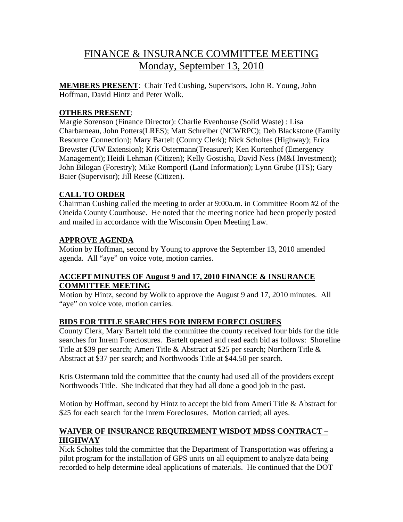# FINANCE & INSURANCE COMMITTEE MEETING Monday, September 13, 2010

**MEMBERS PRESENT**: Chair Ted Cushing, Supervisors, John R. Young, John Hoffman, David Hintz and Peter Wolk.

# **OTHERS PRESENT**:

Margie Sorenson (Finance Director): Charlie Evenhouse (Solid Waste) : Lisa Charbarneau, John Potters(LRES); Matt Schreiber (NCWRPC); Deb Blackstone (Family Resource Connection); Mary Bartelt (County Clerk); Nick Scholtes (Highway); Erica Brewster (UW Extension); Kris Ostermann(Treasurer); Ken Kortenhof (Emergency Management); Heidi Lehman (Citizen); Kelly Gostisha, David Ness (M&I Investment); John Bilogan (Forestry); Mike Romportl (Land Information); Lynn Grube (ITS); Gary Baier (Supervisor); Jill Reese (Citizen).

# **CALL TO ORDER**

Chairman Cushing called the meeting to order at 9:00a.m. in Committee Room #2 of the Oneida County Courthouse. He noted that the meeting notice had been properly posted and mailed in accordance with the Wisconsin Open Meeting Law.

# **APPROVE AGENDA**

Motion by Hoffman, second by Young to approve the September 13, 2010 amended agenda. All "aye" on voice vote, motion carries.

## **ACCEPT MINUTES OF August 9 and 17, 2010 FINANCE & INSURANCE COMMITTEE MEETING**

Motion by Hintz, second by Wolk to approve the August 9 and 17, 2010 minutes. All "aye" on voice vote, motion carries.

## **BIDS FOR TITLE SEARCHES FOR INREM FORECLOSURES**

County Clerk, Mary Bartelt told the committee the county received four bids for the title searches for Inrem Foreclosures. Bartelt opened and read each bid as follows: Shoreline Title at \$39 per search; Ameri Title & Abstract at \$25 per search; Northern Title & Abstract at \$37 per search; and Northwoods Title at \$44.50 per search.

Kris Ostermann told the committee that the county had used all of the providers except Northwoods Title. She indicated that they had all done a good job in the past.

Motion by Hoffman, second by Hintz to accept the bid from Ameri Title & Abstract for \$25 for each search for the Inrem Foreclosures. Motion carried; all ayes.

# **WAIVER OF INSURANCE REQUIREMENT WISDOT MDSS CONTRACT – HIGHWAY**

Nick Scholtes told the committee that the Department of Transportation was offering a pilot program for the installation of GPS units on all equipment to analyze data being recorded to help determine ideal applications of materials. He continued that the DOT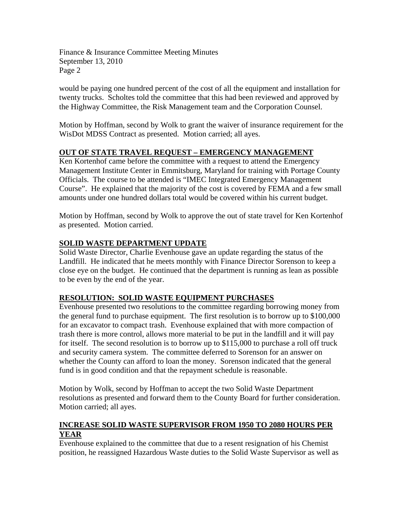would be paying one hundred percent of the cost of all the equipment and installation for twenty trucks. Scholtes told the committee that this had been reviewed and approved by the Highway Committee, the Risk Management team and the Corporation Counsel.

Motion by Hoffman, second by Wolk to grant the waiver of insurance requirement for the WisDot MDSS Contract as presented. Motion carried; all ayes.

# **OUT OF STATE TRAVEL REQUEST – EMERGENCY MANAGEMENT**

Ken Kortenhof came before the committee with a request to attend the Emergency Management Institute Center in Emmitsburg, Maryland for training with Portage County Officials. The course to be attended is "IMEC Integrated Emergency Management Course". He explained that the majority of the cost is covered by FEMA and a few small amounts under one hundred dollars total would be covered within his current budget.

Motion by Hoffman, second by Wolk to approve the out of state travel for Ken Kortenhof as presented. Motion carried.

## **SOLID WASTE DEPARTMENT UPDATE**

Solid Waste Director, Charlie Evenhouse gave an update regarding the status of the Landfill. He indicated that he meets monthly with Finance Director Sorenson to keep a close eye on the budget. He continued that the department is running as lean as possible to be even by the end of the year.

## **RESOLUTION: SOLID WASTE EQUIPMENT PURCHASES**

Evenhouse presented two resolutions to the committee regarding borrowing money from the general fund to purchase equipment. The first resolution is to borrow up to \$100,000 for an excavator to compact trash. Evenhouse explained that with more compaction of trash there is more control, allows more material to be put in the landfill and it will pay for itself. The second resolution is to borrow up to \$115,000 to purchase a roll off truck and security camera system. The committee deferred to Sorenson for an answer on whether the County can afford to loan the money. Sorenson indicated that the general fund is in good condition and that the repayment schedule is reasonable.

Motion by Wolk, second by Hoffman to accept the two Solid Waste Department resolutions as presented and forward them to the County Board for further consideration. Motion carried; all ayes.

# **INCREASE SOLID WASTE SUPERVISOR FROM 1950 TO 2080 HOURS PER YEAR**

Evenhouse explained to the committee that due to a resent resignation of his Chemist position, he reassigned Hazardous Waste duties to the Solid Waste Supervisor as well as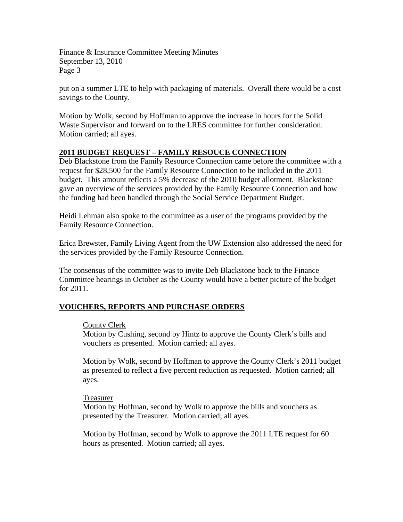put on a summer LTE to help with packaging of materials. Overall there would be a cost savings to the County.

Motion by Wolk, second by Hoffman to approve the increase in hours for the Solid Waste Supervisor and forward on to the LRES committee for further consideration. Motion carried; all ayes.

## **2011 BUDGET REQUEST – FAMILY RESOUCE CONNECTION**

Deb Blackstone from the Family Resource Connection came before the committee with a request for \$28,500 for the Family Resource Connection to be included in the 2011 budget. This amount reflects a 5% decrease of the 2010 budget allotment. Blackstone gave an overview of the services provided by the Family Resource Connection and how the funding had been handled through the Social Service Department Budget.

Heidi Lehman also spoke to the committee as a user of the programs provided by the Family Resource Connection.

Erica Brewster, Family Living Agent from the UW Extension also addressed the need for the services provided by the Family Resource Connection.

The consensus of the committee was to invite Deb Blackstone back to the Finance Committee hearings in October as the County would have a better picture of the budget for 2011.

## **VOUCHERS, REPORTS AND PURCHASE ORDERS**

## County Clerk

Motion by Cushing, second by Hintz to approve the County Clerk's bills and vouchers as presented. Motion carried; all ayes.

Motion by Wolk, second by Hoffman to approve the County Clerk's 2011 budget as presented to reflect a five percent reduction as requested. Motion carried; all ayes.

## Treasurer

Motion by Hoffman, second by Wolk to approve the bills and vouchers as presented by the Treasurer. Motion carried; all ayes.

Motion by Hoffman, second by Wolk to approve the 2011 LTE request for 60 hours as presented. Motion carried; all ayes.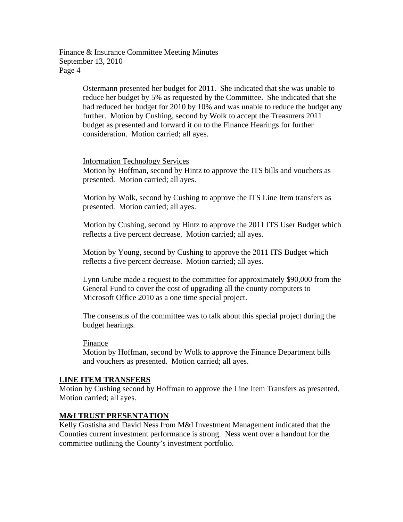> Ostermann presented her budget for 2011. She indicated that she was unable to reduce her budget by 5% as requested by the Committee. She indicated that she had reduced her budget for 2010 by 10% and was unable to reduce the budget any further. Motion by Cushing, second by Wolk to accept the Treasurers 2011 budget as presented and forward it on to the Finance Hearings for further consideration. Motion carried; all ayes.

## Information Technology Services

Motion by Hoffman, second by Hintz to approve the ITS bills and vouchers as presented. Motion carried; all ayes.

Motion by Wolk, second by Cushing to approve the ITS Line Item transfers as presented. Motion carried; all ayes.

Motion by Cushing, second by Hintz to approve the 2011 ITS User Budget which reflects a five percent decrease. Motion carried; all ayes.

Motion by Young, second by Cushing to approve the 2011 ITS Budget which reflects a five percent decrease. Motion carried; all ayes.

Lynn Grube made a request to the committee for approximately \$90,000 from the General Fund to cover the cost of upgrading all the county computers to Microsoft Office 2010 as a one time special project.

The consensus of the committee was to talk about this special project during the budget hearings.

## Finance

Motion by Hoffman, second by Wolk to approve the Finance Department bills and vouchers as presented. Motion carried; all ayes.

## **LINE ITEM TRANSFERS**

Motion by Cushing second by Hoffman to approve the Line Item Transfers as presented. Motion carried; all ayes.

## **M&I TRUST PRESENTATION**

Kelly Gostisha and David Ness from M&I Investment Management indicated that the Counties current investment performance is strong. Ness went over a handout for the committee outlining the County's investment portfolio.